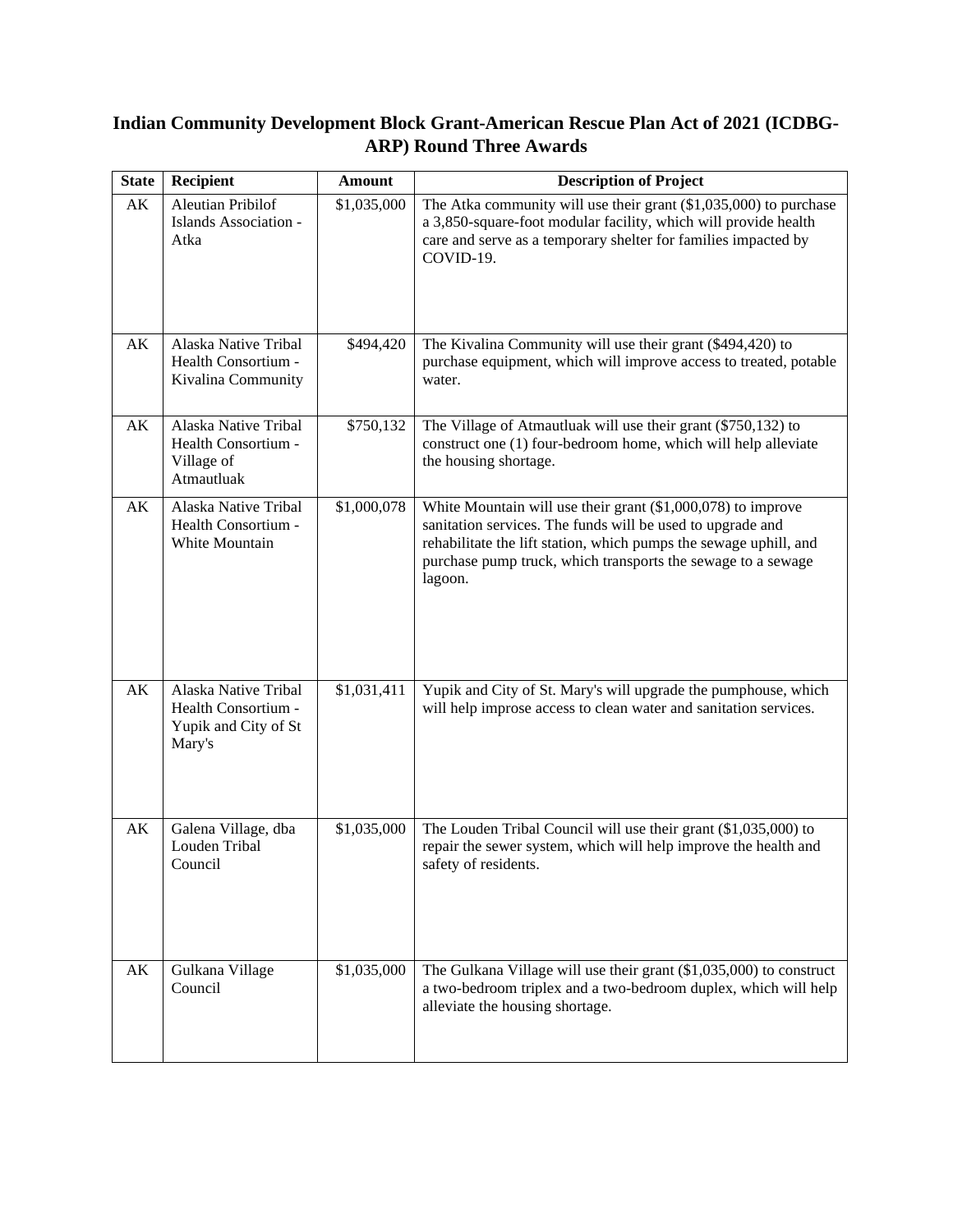## **Indian Community Development Block Grant-American Rescue Plan Act of 2021 (ICDBG-ARP) Round Three Awards**

| <b>State</b> | <b>Recipient</b>                                                              | <b>Amount</b> | <b>Description of Project</b>                                                                                                                                                                                                                                                |
|--------------|-------------------------------------------------------------------------------|---------------|------------------------------------------------------------------------------------------------------------------------------------------------------------------------------------------------------------------------------------------------------------------------------|
| AK           | <b>Aleutian Pribilof</b><br>Islands Association -<br>Atka                     | \$1,035,000   | The Atka community will use their grant $(\$1,035,000)$ to purchase<br>a 3,850-square-foot modular facility, which will provide health<br>care and serve as a temporary shelter for families impacted by<br>COVID-19.                                                        |
| AK           | Alaska Native Tribal<br>Health Consortium -<br>Kivalina Community             | \$494,420     | The Kivalina Community will use their grant (\$494,420) to<br>purchase equipment, which will improve access to treated, potable<br>water.                                                                                                                                    |
| AK           | Alaska Native Tribal<br>Health Consortium -<br>Village of<br>Atmautluak       | \$750,132     | The Village of Atmautluak will use their grant (\$750,132) to<br>construct one (1) four-bedroom home, which will help alleviate<br>the housing shortage.                                                                                                                     |
| AK           | Alaska Native Tribal<br>Health Consortium -<br>White Mountain                 | \$1,000,078   | White Mountain will use their grant $(\$1,000,078)$ to improve<br>sanitation services. The funds will be used to upgrade and<br>rehabilitate the lift station, which pumps the sewage uphill, and<br>purchase pump truck, which transports the sewage to a sewage<br>lagoon. |
| AK           | Alaska Native Tribal<br>Health Consortium -<br>Yupik and City of St<br>Mary's | \$1,031,411   | Yupik and City of St. Mary's will upgrade the pumphouse, which<br>will help improse access to clean water and sanitation services.                                                                                                                                           |
| AK           | Galena Village, dba<br>Louden Tribal<br>Council                               | \$1,035,000   | The Louden Tribal Council will use their grant (\$1,035,000) to<br>repair the sewer system, which will help improve the health and<br>safety of residents.                                                                                                                   |
| AK           | Gulkana Village<br>Council                                                    | \$1,035,000   | The Gulkana Village will use their grant $(\$1,035,000)$ to construct<br>a two-bedroom triplex and a two-bedroom duplex, which will help<br>alleviate the housing shortage.                                                                                                  |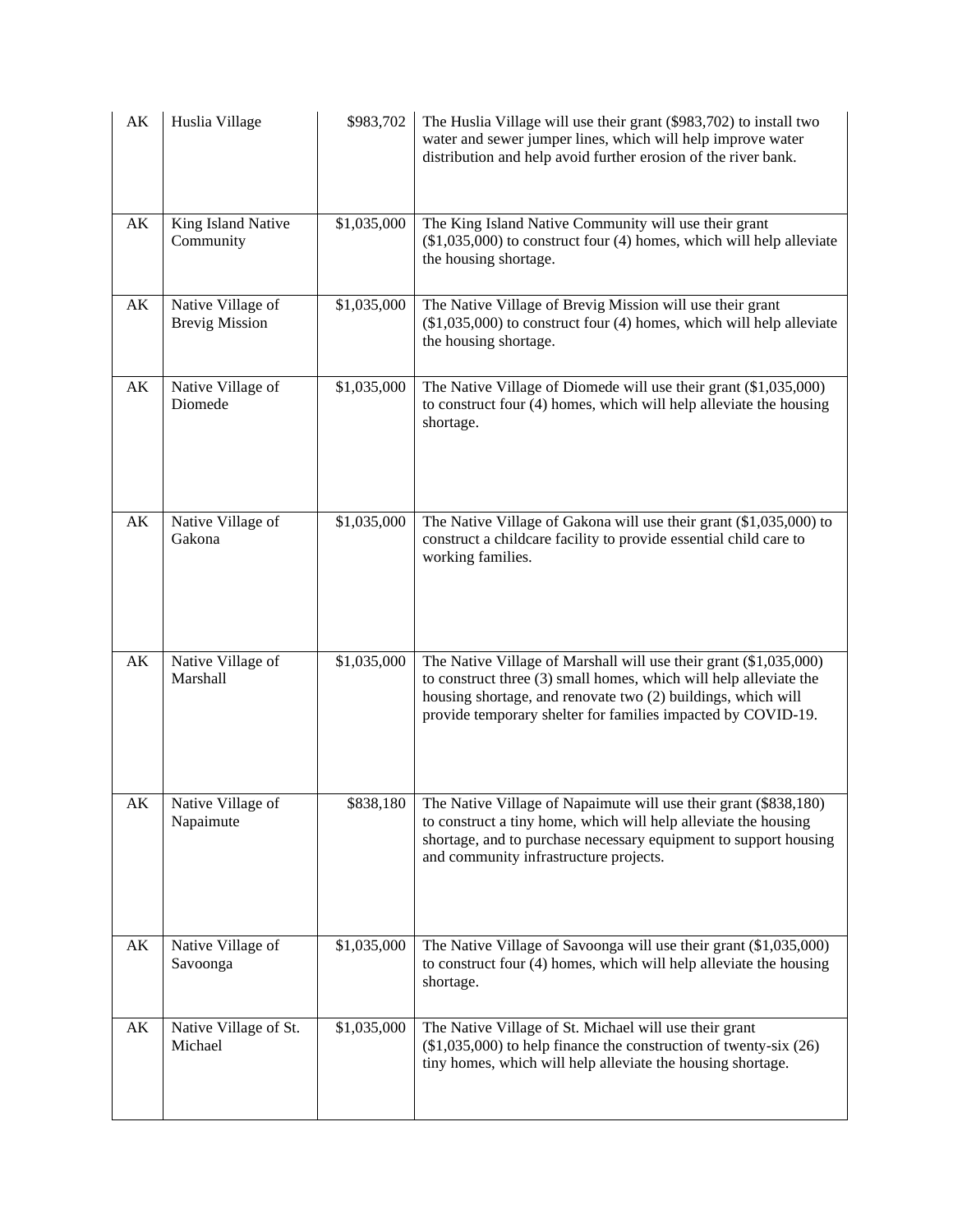| AK                     | Huslia Village                             | \$983,702   | The Huslia Village will use their grant (\$983,702) to install two<br>water and sewer jumper lines, which will help improve water<br>distribution and help avoid further erosion of the river bank.                                                                    |
|------------------------|--------------------------------------------|-------------|------------------------------------------------------------------------------------------------------------------------------------------------------------------------------------------------------------------------------------------------------------------------|
| AK                     | King Island Native<br>Community            | \$1,035,000 | The King Island Native Community will use their grant<br>$(\$1,035,000)$ to construct four $(4)$ homes, which will help alleviate<br>the housing shortage.                                                                                                             |
| $\mathbf{A}\mathbf{K}$ | Native Village of<br><b>Brevig Mission</b> | \$1,035,000 | The Native Village of Brevig Mission will use their grant<br>$(\$1,035,000)$ to construct four $(4)$ homes, which will help alleviate<br>the housing shortage.                                                                                                         |
| $\mathbf{A}\mathbf{K}$ | Native Village of<br>Diomede               | \$1,035,000 | The Native Village of Diomede will use their grant (\$1,035,000)<br>to construct four (4) homes, which will help alleviate the housing<br>shortage.                                                                                                                    |
| AK                     | Native Village of<br>Gakona                | \$1,035,000 | The Native Village of Gakona will use their grant (\$1,035,000) to<br>construct a childcare facility to provide essential child care to<br>working families.                                                                                                           |
| AK                     | Native Village of<br>Marshall              | \$1,035,000 | The Native Village of Marshall will use their grant (\$1,035,000)<br>to construct three (3) small homes, which will help alleviate the<br>housing shortage, and renovate two (2) buildings, which will<br>provide temporary shelter for families impacted by COVID-19. |
| AΚ                     | Native Village of<br>Napaimute             | \$838,180   | The Native Village of Napaimute will use their grant (\$838,180)<br>to construct a tiny home, which will help alleviate the housing<br>shortage, and to purchase necessary equipment to support housing<br>and community infrastructure projects.                      |
| АK                     | Native Village of<br>Savoonga              | \$1,035,000 | The Native Village of Savoonga will use their grant (\$1,035,000)<br>to construct four (4) homes, which will help alleviate the housing<br>shortage.                                                                                                                   |
| AK                     | Native Village of St.<br>Michael           | \$1,035,000 | The Native Village of St. Michael will use their grant<br>$(\$1,035,000)$ to help finance the construction of twenty-six $(26)$<br>tiny homes, which will help alleviate the housing shortage.                                                                         |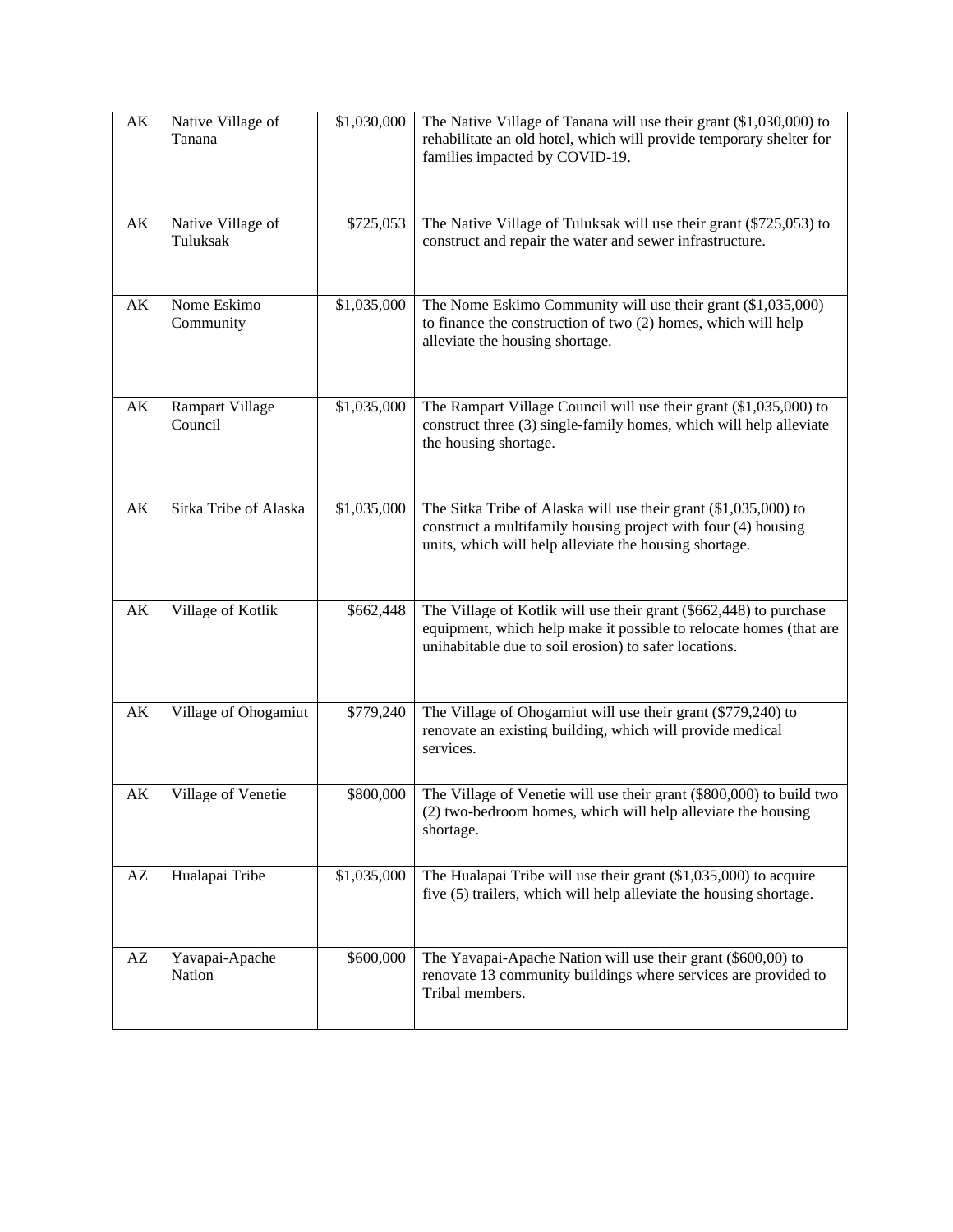| AK                     | Native Village of<br>Tanana       | \$1,030,000 | The Native Village of Tanana will use their grant (\$1,030,000) to<br>rehabilitate an old hotel, which will provide temporary shelter for<br>families impacted by COVID-19.                       |
|------------------------|-----------------------------------|-------------|---------------------------------------------------------------------------------------------------------------------------------------------------------------------------------------------------|
| AK                     | Native Village of<br>Tuluksak     | \$725,053   | The Native Village of Tuluksak will use their grant (\$725,053) to<br>construct and repair the water and sewer infrastructure.                                                                    |
| AK                     | Nome Eskimo<br>Community          | \$1,035,000 | The Nome Eskimo Community will use their grant (\$1,035,000)<br>to finance the construction of two (2) homes, which will help<br>alleviate the housing shortage.                                  |
| $\mathbf{A}\mathbf{K}$ | <b>Rampart Village</b><br>Council | \$1,035,000 | The Rampart Village Council will use their grant (\$1,035,000) to<br>construct three (3) single-family homes, which will help alleviate<br>the housing shortage.                                  |
| AK                     | Sitka Tribe of Alaska             | \$1,035,000 | The Sitka Tribe of Alaska will use their grant $(\$1,035,000)$ to<br>construct a multifamily housing project with four (4) housing<br>units, which will help alleviate the housing shortage.      |
| $\mathbf{A}\mathbf{K}$ | Village of Kotlik                 | \$662,448   | The Village of Kotlik will use their grant (\$662,448) to purchase<br>equipment, which help make it possible to relocate homes (that are<br>unihabitable due to soil erosion) to safer locations. |
| AK                     | Village of Ohogamiut              | \$779,240   | The Village of Ohogamiut will use their grant (\$779,240) to<br>renovate an existing building, which will provide medical<br>services.                                                            |
| AK                     | Village of Venetie                | \$800,000   | The Village of Venetie will use their grant (\$800,000) to build two<br>(2) two-bedroom homes, which will help alleviate the housing<br>shortage.                                                 |
| $\mathbf{A}\mathbf{Z}$ | Hualapai Tribe                    | \$1,035,000 | The Hualapai Tribe will use their grant (\$1,035,000) to acquire<br>five (5) trailers, which will help alleviate the housing shortage.                                                            |
| $\mathbf{A}\mathbf{Z}$ | Yavapai-Apache<br>Nation          | \$600,000   | The Yavapai-Apache Nation will use their grant (\$600,00) to<br>renovate 13 community buildings where services are provided to<br>Tribal members.                                                 |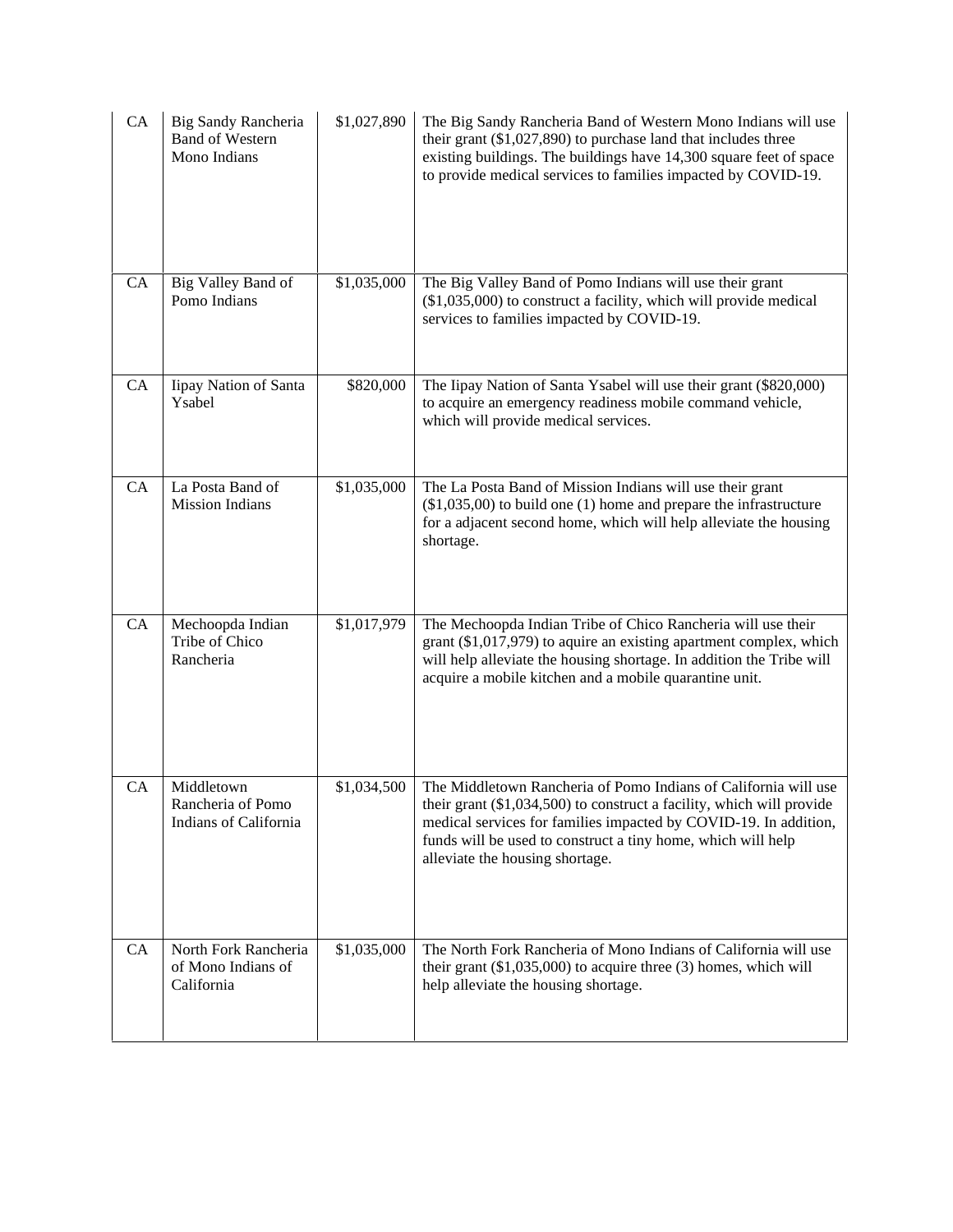| CA        | <b>Big Sandy Rancheria</b><br><b>Band of Western</b><br>Mono Indians | \$1,027,890 | The Big Sandy Rancheria Band of Western Mono Indians will use<br>their grant $(\$1,027,890)$ to purchase land that includes three<br>existing buildings. The buildings have 14,300 square feet of space<br>to provide medical services to families impacted by COVID-19.                                          |
|-----------|----------------------------------------------------------------------|-------------|-------------------------------------------------------------------------------------------------------------------------------------------------------------------------------------------------------------------------------------------------------------------------------------------------------------------|
| CA        | Big Valley Band of<br>Pomo Indians                                   | \$1,035,000 | The Big Valley Band of Pomo Indians will use their grant<br>$(\$1,035,000)$ to construct a facility, which will provide medical<br>services to families impacted by COVID-19.                                                                                                                                     |
| CA        | Iipay Nation of Santa<br>Ysabel                                      | \$820,000   | The Iipay Nation of Santa Ysabel will use their grant (\$820,000)<br>to acquire an emergency readiness mobile command vehicle,<br>which will provide medical services.                                                                                                                                            |
| CA        | La Posta Band of<br><b>Mission Indians</b>                           | \$1,035,000 | The La Posta Band of Mission Indians will use their grant<br>$(\$1,035,00)$ to build one $(1)$ home and prepare the infrastructure<br>for a adjacent second home, which will help alleviate the housing<br>shortage.                                                                                              |
| CA        | Mechoopda Indian<br>Tribe of Chico<br>Rancheria                      | \$1,017,979 | The Mechoopda Indian Tribe of Chico Rancheria will use their<br>grant (\$1,017,979) to aquire an existing apartment complex, which<br>will help alleviate the housing shortage. In addition the Tribe will<br>acquire a mobile kitchen and a mobile quarantine unit.                                              |
| <b>CA</b> | Middletown<br>Rancheria of Pomo<br>Indians of California             | \$1,034,500 | The Middletown Rancheria of Pomo Indians of California will use<br>their grant $(\$1,034,500)$ to construct a facility, which will provide<br>medical services for families impacted by COVID-19. In addition,<br>funds will be used to construct a tiny home, which will help<br>alleviate the housing shortage. |
| CA        | North Fork Rancheria<br>of Mono Indians of<br>California             | \$1,035,000 | The North Fork Rancheria of Mono Indians of California will use<br>their grant $(\$1,035,000)$ to acquire three $(3)$ homes, which will<br>help alleviate the housing shortage.                                                                                                                                   |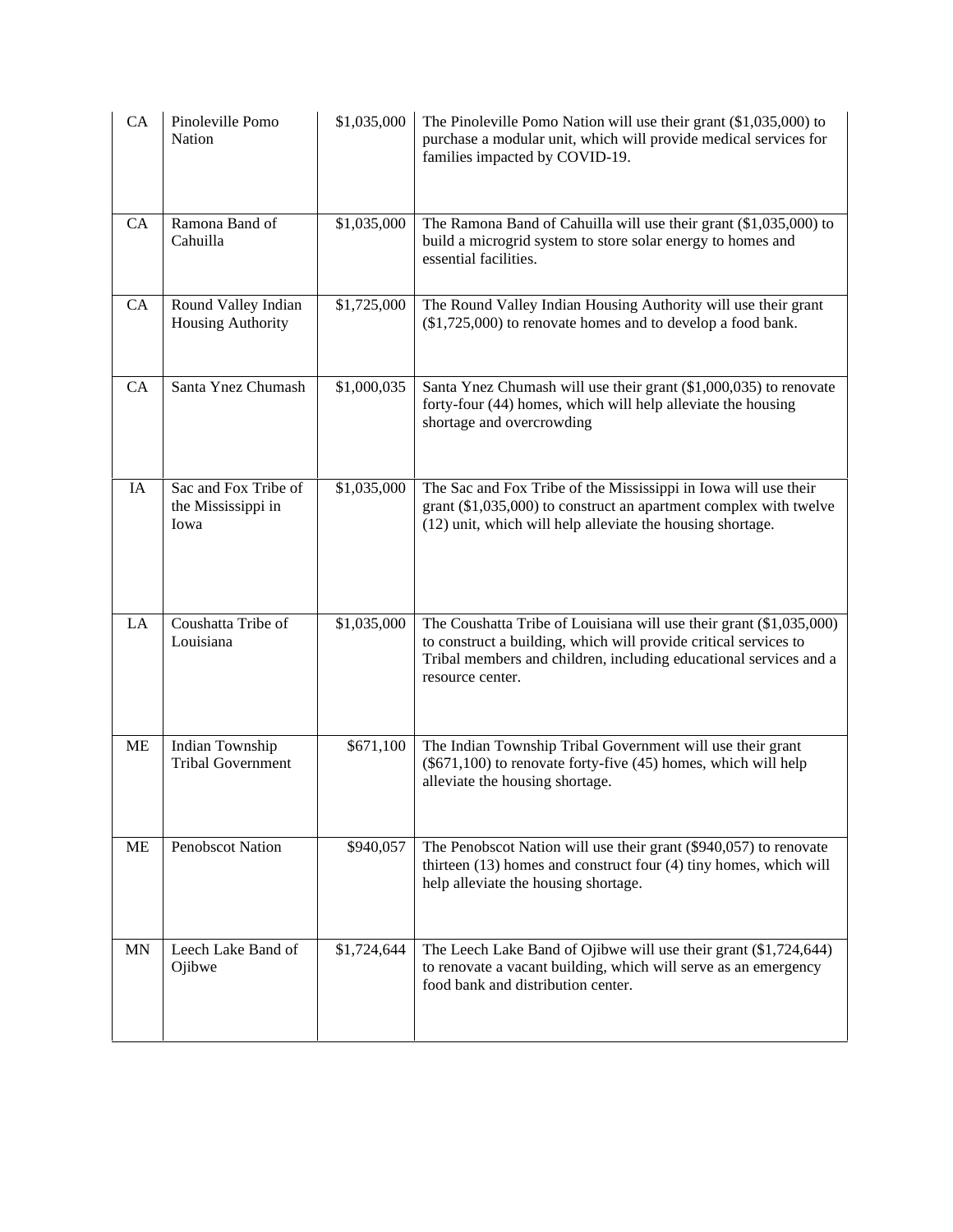| CA        | Pinoleville Pomo<br>Nation                         | \$1,035,000 | The Pinoleville Pomo Nation will use their grant $(\$1,035,000)$ to<br>purchase a modular unit, which will provide medical services for<br>families impacted by COVID-19.                                                        |
|-----------|----------------------------------------------------|-------------|----------------------------------------------------------------------------------------------------------------------------------------------------------------------------------------------------------------------------------|
| CA        | Ramona Band of<br>Cahuilla                         | \$1,035,000 | The Ramona Band of Cahuilla will use their grant (\$1,035,000) to<br>build a microgrid system to store solar energy to homes and<br>essential facilities.                                                                        |
| CA        | Round Valley Indian<br>Housing Authority           | \$1,725,000 | The Round Valley Indian Housing Authority will use their grant<br>(\$1,725,000) to renovate homes and to develop a food bank.                                                                                                    |
| CA        | Santa Ynez Chumash                                 | \$1,000,035 | Santa Ynez Chumash will use their grant (\$1,000,035) to renovate<br>forty-four (44) homes, which will help alleviate the housing<br>shortage and overcrowding                                                                   |
| IA        | Sac and Fox Tribe of<br>the Mississippi in<br>Iowa | \$1,035,000 | The Sac and Fox Tribe of the Mississippi in Iowa will use their<br>grant $(\$1,035,000)$ to construct an apartment complex with twelve<br>(12) unit, which will help alleviate the housing shortage.                             |
| LA        | Coushatta Tribe of<br>Louisiana                    | \$1,035,000 | The Coushatta Tribe of Louisiana will use their grant (\$1,035,000)<br>to construct a building, which will provide critical services to<br>Tribal members and children, including educational services and a<br>resource center. |
| <b>ME</b> | Indian Township<br><b>Tribal Government</b>        | \$671,100   | The Indian Township Tribal Government will use their grant<br>(\$671,100) to renovate forty-five (45) homes, which will help<br>alleviate the housing shortage.                                                                  |
| ME        | Penobscot Nation                                   | \$940,057   | The Penobscot Nation will use their grant (\$940,057) to renovate<br>thirteen (13) homes and construct four (4) tiny homes, which will<br>help alleviate the housing shortage.                                                   |
| <b>MN</b> | Leech Lake Band of<br>Ojibwe                       | \$1,724,644 | The Leech Lake Band of Ojibwe will use their grant (\$1,724,644)<br>to renovate a vacant building, which will serve as an emergency<br>food bank and distribution center.                                                        |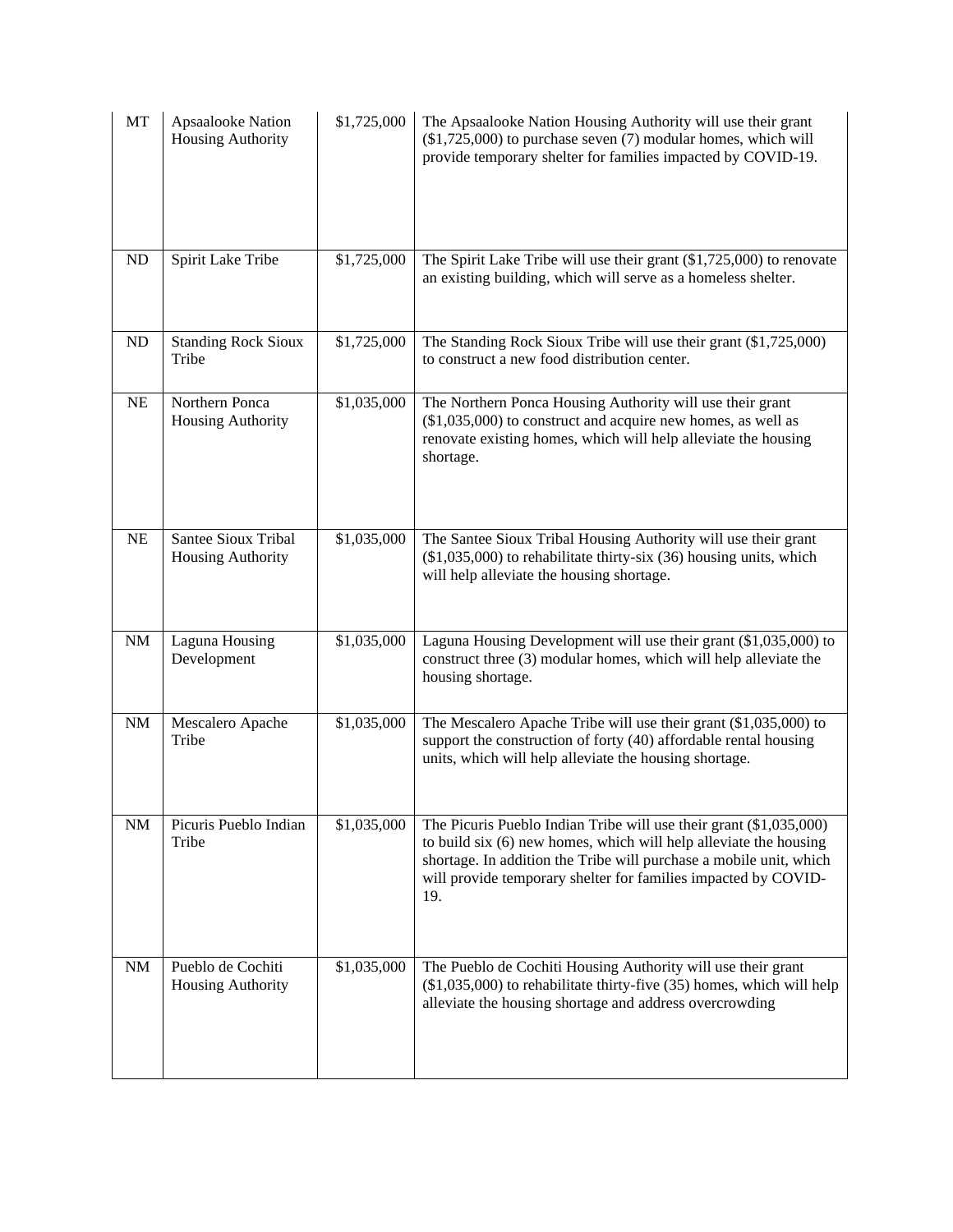| MT        | <b>Apsaalooke Nation</b><br><b>Housing Authority</b> | \$1,725,000 | The Apsaalooke Nation Housing Authority will use their grant<br>$(\$1,725,000)$ to purchase seven $(7)$ modular homes, which will<br>provide temporary shelter for families impacted by COVID-19.                                                                                      |
|-----------|------------------------------------------------------|-------------|----------------------------------------------------------------------------------------------------------------------------------------------------------------------------------------------------------------------------------------------------------------------------------------|
| <b>ND</b> | Spirit Lake Tribe                                    | \$1,725,000 | The Spirit Lake Tribe will use their grant $(1,725,000)$ to renovate<br>an existing building, which will serve as a homeless shelter.                                                                                                                                                  |
| ND        | <b>Standing Rock Sioux</b><br>Tribe                  | \$1,725,000 | The Standing Rock Sioux Tribe will use their grant (\$1,725,000)<br>to construct a new food distribution center.                                                                                                                                                                       |
| NE        | Northern Ponca<br>Housing Authority                  | \$1,035,000 | The Northern Ponca Housing Authority will use their grant<br>$($1,035,000)$ to construct and acquire new homes, as well as<br>renovate existing homes, which will help alleviate the housing<br>shortage.                                                                              |
| NE        | Santee Sioux Tribal<br>Housing Authority             | \$1,035,000 | The Santee Sioux Tribal Housing Authority will use their grant<br>$(\$1,035,000)$ to rehabilitate thirty-six $(36)$ housing units, which<br>will help alleviate the housing shortage.                                                                                                  |
| $\rm{NM}$ | Laguna Housing<br>Development                        | \$1,035,000 | Laguna Housing Development will use their grant (\$1,035,000) to<br>construct three (3) modular homes, which will help alleviate the<br>housing shortage.                                                                                                                              |
| $\rm{NM}$ | Mescalero Apache<br>Tribe                            | \$1,035,000 | The Mescalero Apache Tribe will use their grant (\$1,035,000) to<br>support the construction of forty (40) affordable rental housing<br>units, which will help alleviate the housing shortage.                                                                                         |
| $\rm{NM}$ | Picuris Pueblo Indian<br>Tribe                       | \$1,035,000 | The Picuris Pueblo Indian Tribe will use their grant (\$1,035,000)<br>to build six (6) new homes, which will help alleviate the housing<br>shortage. In addition the Tribe will purchase a mobile unit, which<br>will provide temporary shelter for families impacted by COVID-<br>19. |
| <b>NM</b> | Pueblo de Cochiti<br>Housing Authority               | \$1,035,000 | The Pueblo de Cochiti Housing Authority will use their grant<br>$(\$1,035,000)$ to rehabilitate thirty-five $(35)$ homes, which will help<br>alleviate the housing shortage and address overcrowding                                                                                   |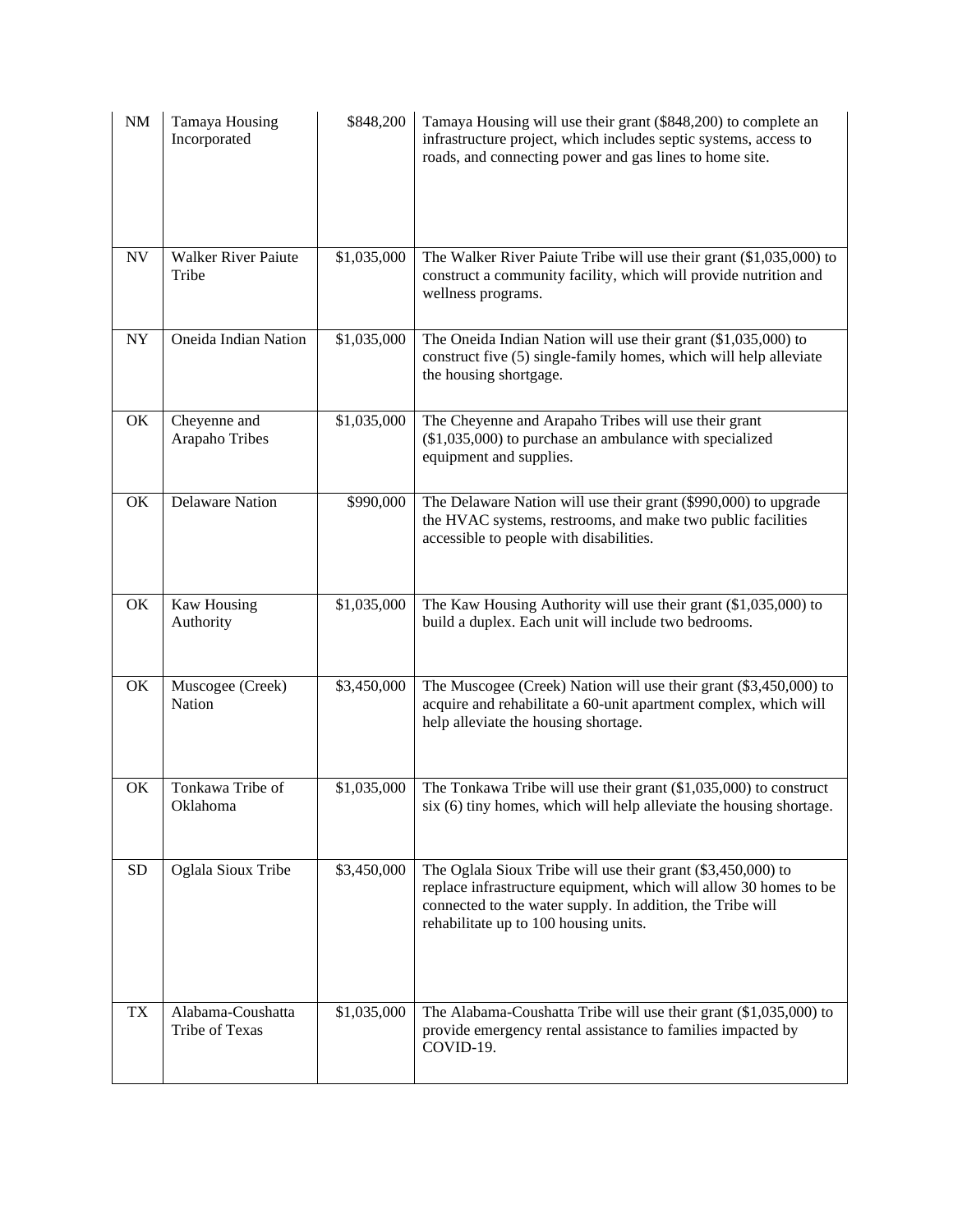| NM        | Tamaya Housing<br>Incorporated      | \$848,200   | Tamaya Housing will use their grant (\$848,200) to complete an<br>infrastructure project, which includes septic systems, access to<br>roads, and connecting power and gas lines to home site.                                            |
|-----------|-------------------------------------|-------------|------------------------------------------------------------------------------------------------------------------------------------------------------------------------------------------------------------------------------------------|
| <b>NV</b> | Walker River Paiute<br>Tribe        | \$1,035,000 | The Walker River Paiute Tribe will use their grant (\$1,035,000) to<br>construct a community facility, which will provide nutrition and<br>wellness programs.                                                                            |
| NY        | Oneida Indian Nation                | \$1,035,000 | The Oneida Indian Nation will use their grant $(\$1,035,000)$ to<br>construct five (5) single-family homes, which will help alleviate<br>the housing shortgage.                                                                          |
| OK        | Cheyenne and<br>Arapaho Tribes      | \$1,035,000 | The Cheyenne and Arapaho Tribes will use their grant<br>$(\$1,035,000)$ to purchase an ambulance with specialized<br>equipment and supplies.                                                                                             |
| OK        | <b>Delaware Nation</b>              | \$990,000   | The Delaware Nation will use their grant (\$990,000) to upgrade<br>the HVAC systems, restrooms, and make two public facilities<br>accessible to people with disabilities.                                                                |
| OK        | Kaw Housing<br>Authority            | \$1,035,000 | The Kaw Housing Authority will use their grant (\$1,035,000) to<br>build a duplex. Each unit will include two bedrooms.                                                                                                                  |
| OK        | Muscogee (Creek)<br>Nation          | \$3,450,000 | The Muscogee (Creek) Nation will use their grant (\$3,450,000) to<br>acquire and rehabilitate a 60-unit apartment complex, which will<br>help alleviate the housing shortage.                                                            |
| OK        | Tonkawa Tribe of<br>Oklahoma        | \$1,035,000 | The Tonkawa Tribe will use their grant (\$1,035,000) to construct<br>six (6) tiny homes, which will help alleviate the housing shortage.                                                                                                 |
| <b>SD</b> | Oglala Sioux Tribe                  | \$3,450,000 | The Oglala Sioux Tribe will use their grant (\$3,450,000) to<br>replace infrastructure equipment, which will allow 30 homes to be<br>connected to the water supply. In addition, the Tribe will<br>rehabilitate up to 100 housing units. |
| <b>TX</b> | Alabama-Coushatta<br>Tribe of Texas | \$1,035,000 | The Alabama-Coushatta Tribe will use their grant (\$1,035,000) to<br>provide emergency rental assistance to families impacted by<br>COVID-19.                                                                                            |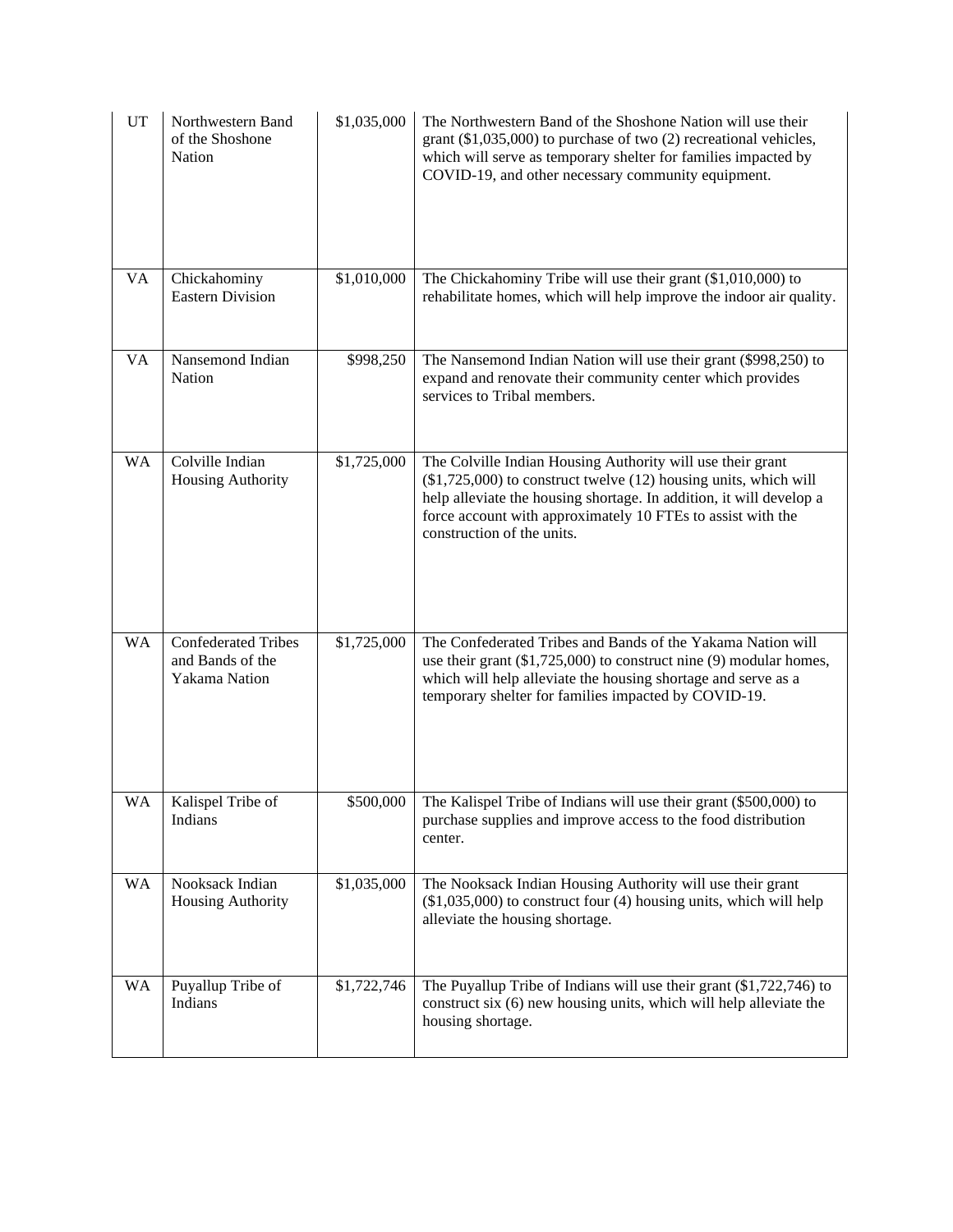| UT        | Northwestern Band<br>of the Shoshone<br>Nation                  | \$1,035,000 | The Northwestern Band of the Shoshone Nation will use their<br>grant $(\$1,035,000)$ to purchase of two $(2)$ recreational vehicles,<br>which will serve as temporary shelter for families impacted by<br>COVID-19, and other necessary community equipment.                                           |
|-----------|-----------------------------------------------------------------|-------------|--------------------------------------------------------------------------------------------------------------------------------------------------------------------------------------------------------------------------------------------------------------------------------------------------------|
| <b>VA</b> | Chickahominy<br><b>Eastern Division</b>                         | \$1,010,000 | The Chickahominy Tribe will use their grant (\$1,010,000) to<br>rehabilitate homes, which will help improve the indoor air quality.                                                                                                                                                                    |
| VA        | Nansemond Indian<br>Nation                                      | \$998,250   | The Nansemond Indian Nation will use their grant (\$998,250) to<br>expand and renovate their community center which provides<br>services to Tribal members.                                                                                                                                            |
| <b>WA</b> | Colville Indian<br>Housing Authority                            | \$1,725,000 | The Colville Indian Housing Authority will use their grant<br>$(\$1,725,000)$ to construct twelve $(12)$ housing units, which will<br>help alleviate the housing shortage. In addition, it will develop a<br>force account with approximately 10 FTEs to assist with the<br>construction of the units. |
| <b>WA</b> | <b>Confederated Tribes</b><br>and Bands of the<br>Yakama Nation | \$1,725,000 | The Confederated Tribes and Bands of the Yakama Nation will<br>use their grant $(1,725,000)$ to construct nine $(9)$ modular homes,<br>which will help alleviate the housing shortage and serve as a<br>temporary shelter for families impacted by COVID-19.                                           |
| WA        | Kalispel Tribe of<br>Indians                                    | \$500,000   | The Kalispel Tribe of Indians will use their grant (\$500,000) to<br>purchase supplies and improve access to the food distribution<br>center.                                                                                                                                                          |
| <b>WA</b> | Nooksack Indian<br>Housing Authority                            | \$1,035,000 | The Nooksack Indian Housing Authority will use their grant<br>$($1,035,000)$ to construct four (4) housing units, which will help<br>alleviate the housing shortage.                                                                                                                                   |
| WA        | Puyallup Tribe of<br>Indians                                    | \$1,722,746 | The Puyallup Tribe of Indians will use their grant (\$1,722,746) to<br>construct six (6) new housing units, which will help alleviate the<br>housing shortage.                                                                                                                                         |